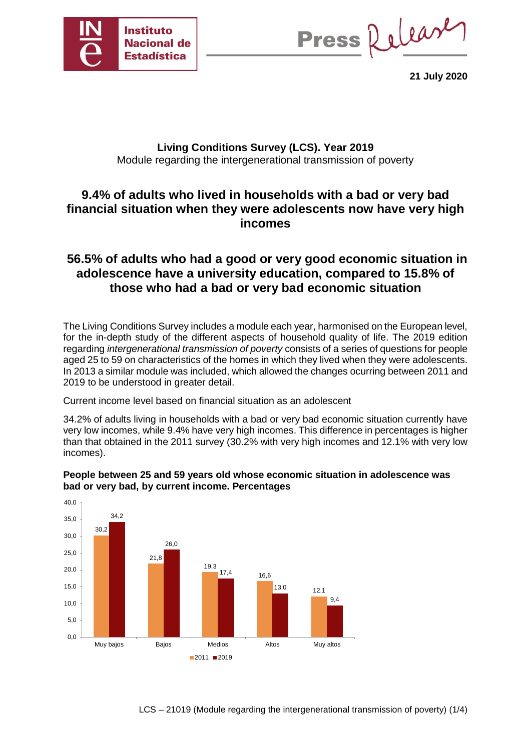

Press Release

**21 July 2020**

### **Living Conditions Survey (LCS). Year 2019** Module regarding the intergenerational transmission of poverty

### **9.4% of adults who lived in households with a bad or very bad financial situation when they were adolescents now have very high incomes**

## **56.5% of adults who had a good or very good economic situation in adolescence have a university education, compared to 15.8% of those who had a bad or very bad economic situation**

The Living Conditions Survey includes a module each year, harmonised on the European level, for the in-depth study of the different aspects of household quality of life. The 2019 edition regarding *intergenerational transmission of poverty* consists of a series of questions for people aged 25 to 59 on characteristics of the homes in which they lived when they were adolescents. In 2013 a similar module was included, which allowed the changes ocurring between 2011 and 2019 to be understood in greater detail.

Current income level based on financial situation as an adolescent

34.2% of adults living in households with a bad or very bad economic situation currently have very low incomes, while 9.4% have very high incomes. This difference in percentages is higher than that obtained in the 2011 survey (30.2% with very high incomes and 12.1% with very low incomes).



#### **People between 25 and 59 years old whose economic situation in adolescence was bad or very bad, by current income. Percentages**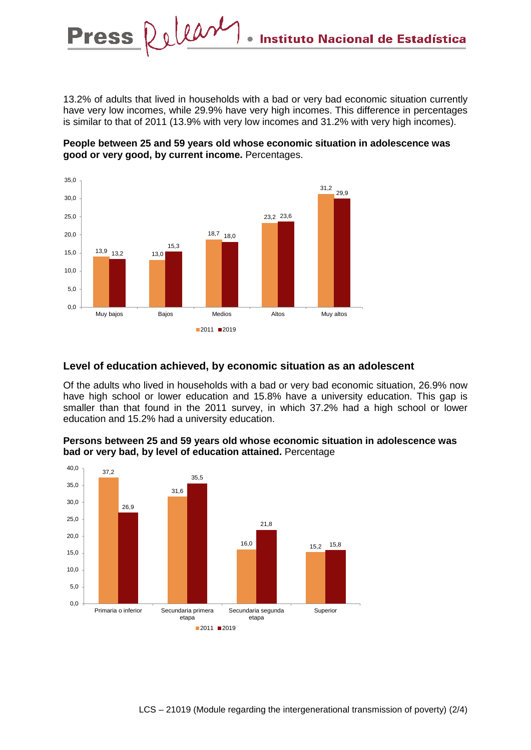13.2% of adults that lived in households with a bad or very bad economic situation currently have very low incomes, while 29.9% have very high incomes. This difference in percentages is similar to that of 2011 (13.9% with very low incomes and 31.2% with very high incomes).





#### **Level of education achieved, by economic situation as an adolescent**

Of the adults who lived in households with a bad or very bad economic situation, 26.9% now have high school or lower education and 15.8% have a university education. This gap is smaller than that found in the 2011 survey, in which 37.2% had a high school or lower education and 15.2% had a university education.



#### **Persons between 25 and 59 years old whose economic situation in adolescence was bad or very bad, by level of education attained.** Percentage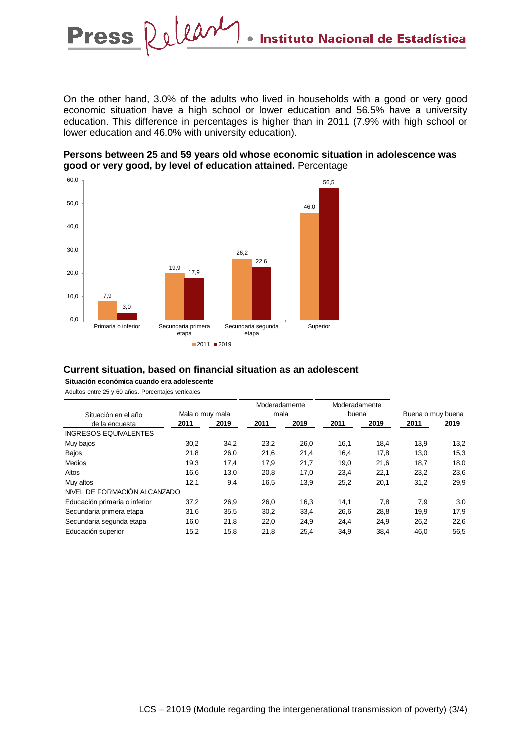On the other hand, 3.0% of the adults who lived in households with a good or very good economic situation have a high school or lower education and 56.5% have a university education. This difference in percentages is higher than in 2011 (7.9% with high school or lower education and 46.0% with university education).





## **Current situation, based on financial situation as an adolescent**

**Situación económica cuando era adolescente** Adultos entre 25 y 60 años. Porcentajes verticales

| Situación en el año<br>de la encuesta | Mala o muy mala |      | Moderadamente<br>mala |      | Moderadamente<br>buena |      | Buena o muy buena |      |
|---------------------------------------|-----------------|------|-----------------------|------|------------------------|------|-------------------|------|
|                                       | 2011            | 2019 | 2011                  | 2019 | 2011                   | 2019 | 2011              | 2019 |
| <b>INGRESOS EQUIVALENTES</b>          |                 |      |                       |      |                        |      |                   |      |
| Muy bajos                             | 30,2            | 34.2 | 23,2                  | 26,0 | 16,1                   | 18,4 | 13,9              | 13,2 |
| <b>Bajos</b>                          | 21,8            | 26,0 | 21,6                  | 21,4 | 16,4                   | 17,8 | 13,0              | 15,3 |
| <b>Medios</b>                         | 19,3            | 17,4 | 17,9                  | 21,7 | 19,0                   | 21,6 | 18,7              | 18,0 |
| Altos                                 | 16,6            | 13,0 | 20,8                  | 17,0 | 23,4                   | 22,1 | 23,2              | 23,6 |
| Muy altos                             | 12,1            | 9,4  | 16,5                  | 13,9 | 25,2                   | 20,1 | 31,2              | 29,9 |
| NIVEL DE FORMACIÓN ALCANZADO          |                 |      |                       |      |                        |      |                   |      |
| Educación primaria o inferior         | 37,2            | 26,9 | 26,0                  | 16,3 | 14,1                   | 7,8  | 7,9               | 3,0  |
| Secundaria primera etapa              | 31,6            | 35,5 | 30,2                  | 33,4 | 26,6                   | 28,8 | 19,9              | 17,9 |
| Secundaria segunda etapa              | 16,0            | 21.8 | 22,0                  | 24.9 | 24,4                   | 24,9 | 26.2              | 22,6 |
| Educación superior                    | 15,2            | 15,8 | 21,8                  | 25,4 | 34,9                   | 38,4 | 46,0              | 56,5 |

LCS – 21019 (Module regarding the intergenerational transmission of poverty) (3/4)